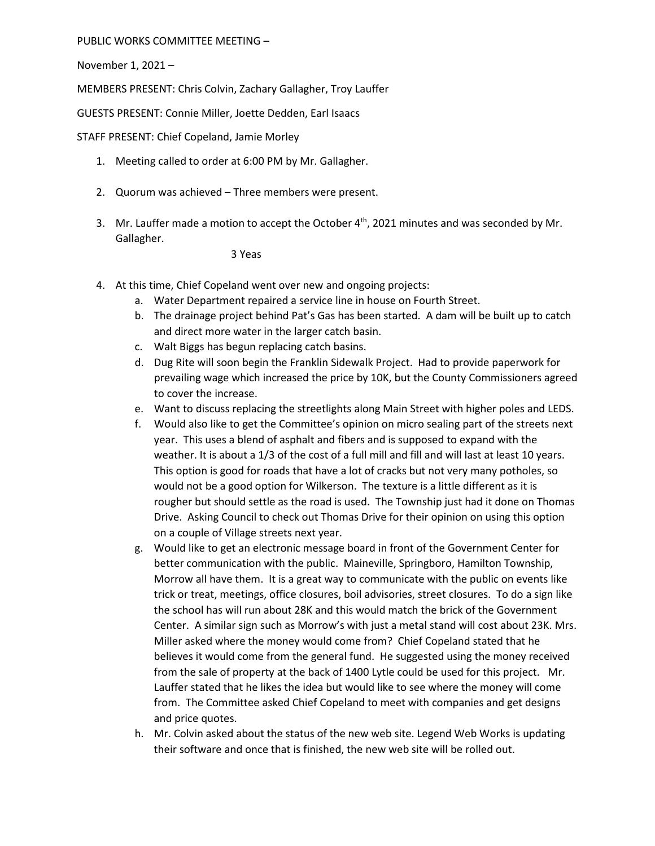PUBLIC WORKS COMMITTEE MEETING –

November 1, 2021 –

MEMBERS PRESENT: Chris Colvin, Zachary Gallagher, Troy Lauffer

GUESTS PRESENT: Connie Miller, Joette Dedden, Earl Isaacs

STAFF PRESENT: Chief Copeland, Jamie Morley

- 1. Meeting called to order at 6:00 PM by Mr. Gallagher.
- 2. Quorum was achieved Three members were present.
- 3. Mr. Lauffer made a motion to accept the October  $4<sup>th</sup>$ , 2021 minutes and was seconded by Mr. Gallagher.

3 Yeas

- 4. At this time, Chief Copeland went over new and ongoing projects:
	- a. Water Department repaired a service line in house on Fourth Street.
	- b. The drainage project behind Pat's Gas has been started. A dam will be built up to catch and direct more water in the larger catch basin.
	- c. Walt Biggs has begun replacing catch basins.
	- d. Dug Rite will soon begin the Franklin Sidewalk Project. Had to provide paperwork for prevailing wage which increased the price by 10K, but the County Commissioners agreed to cover the increase.
	- e. Want to discuss replacing the streetlights along Main Street with higher poles and LEDS.
	- f. Would also like to get the Committee's opinion on micro sealing part of the streets next year. This uses a blend of asphalt and fibers and is supposed to expand with the weather. It is about a 1/3 of the cost of a full mill and fill and will last at least 10 years. This option is good for roads that have a lot of cracks but not very many potholes, so would not be a good option for Wilkerson. The texture is a little different as it is rougher but should settle as the road is used. The Township just had it done on Thomas Drive. Asking Council to check out Thomas Drive for their opinion on using this option on a couple of Village streets next year.
	- g. Would like to get an electronic message board in front of the Government Center for better communication with the public. Maineville, Springboro, Hamilton Township, Morrow all have them. It is a great way to communicate with the public on events like trick or treat, meetings, office closures, boil advisories, street closures. To do a sign like the school has will run about 28K and this would match the brick of the Government Center. A similar sign such as Morrow's with just a metal stand will cost about 23K. Mrs. Miller asked where the money would come from? Chief Copeland stated that he believes it would come from the general fund. He suggested using the money received from the sale of property at the back of 1400 Lytle could be used for this project. Mr. Lauffer stated that he likes the idea but would like to see where the money will come from. The Committee asked Chief Copeland to meet with companies and get designs and price quotes.
	- h. Mr. Colvin asked about the status of the new web site. Legend Web Works is updating their software and once that is finished, the new web site will be rolled out.